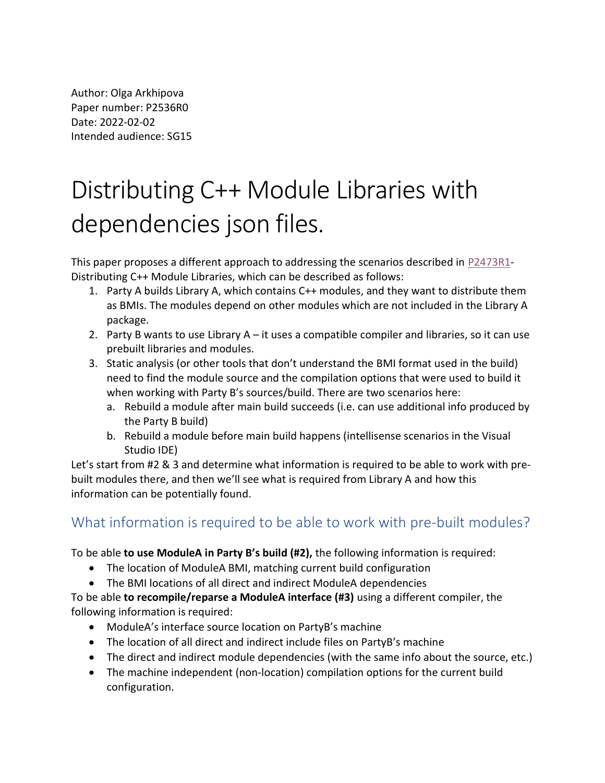Author: Olga Arkhipova Paper number: P2536R0 Date: 2022-02-02 Intended audience: SG15

# Distributing C++ Module Libraries with dependencies json files.

This paper proposes a different approach to addressing the scenarios described in P2473R1- Distributing C++ Module Libraries, which can be described as follows:

- 1. Party A builds Library A, which contains C++ modules, and they want to distribute them as BMIs. The modules depend on other modules which are not included in the Library A package.
- 2. Party B wants to use Library  $A it$  uses a compatible compiler and libraries, so it can use prebuilt libraries and modules.
- 3. Static analysis (or other tools that don't understand the BMI format used in the build) need to find the module source and the compilation options that were used to build it when working with Party B's sources/build. There are two scenarios here:
	- a. Rebuild a module after main build succeeds (i.e. can use additional info produced by the Party B build)
	- b. Rebuild a module before main build happens (intellisense scenarios in the Visual Studio IDE)

Let's start from #2 & 3 and determine what information is required to be able to work with prebuilt modules there, and then we'll see what is required from Library A and how this information can be potentially found.

## What information is required to be able to work with pre-built modules?

To be able to use ModuleA in Party B's build (#2), the following information is required:

- The location of ModuleA BMI, matching current build configuration
- The BMI locations of all direct and indirect ModuleA dependencies

To be able to recompile/reparse a ModuleA interface (#3) using a different compiler, the following information is required:

- ModuleA's interface source location on PartyB's machine
- The location of all direct and indirect include files on PartyB's machine
- The direct and indirect module dependencies (with the same info about the source, etc.)
- The machine independent (non-location) compilation options for the current build configuration.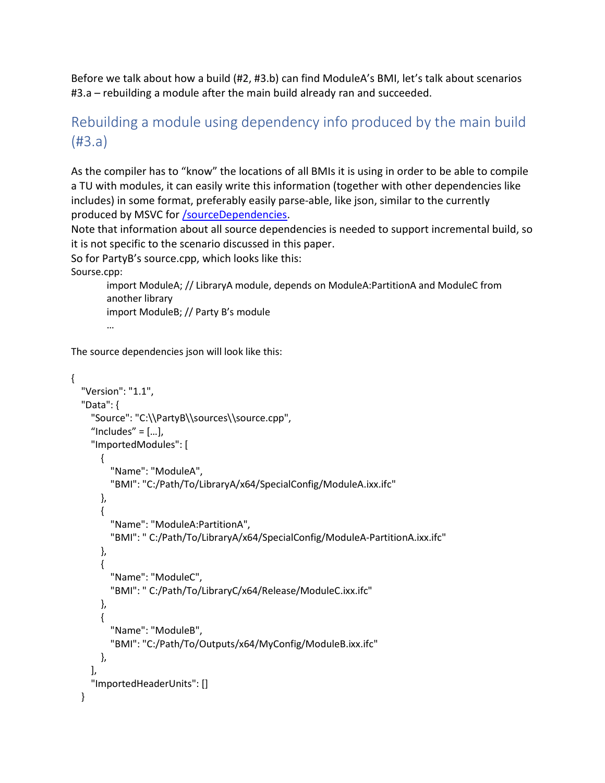Before we talk about how a build (#2, #3.b) can find ModuleA's BMI, let's talk about scenarios #3.a – rebuilding a module after the main build already ran and succeeded.

# Rebuilding a module using dependency info produced by the main build (#3.a)

As the compiler has to "know" the locations of all BMIs it is using in order to be able to compile a TU with modules, it can easily write this information (together with other dependencies like includes) in some format, preferably easily parse-able, like json, similar to the currently produced by MSVC for /sourceDependencies.

Note that information about all source dependencies is needed to support incremental build, so it is not specific to the scenario discussed in this paper.

So for PartyB's source.cpp, which looks like this:

Sourse.cpp:

import ModuleA; // LibraryA module, depends on ModuleA:PartitionA and ModuleC from another library import ModuleB; // Party B's module

…

The source dependencies json will look like this:

```
{ 
   "Version": "1.1", 
   "Data": { 
     "Source": "C:\\PartyB\\sources\\source.cpp", 
    "Includes" = [...],
     "ImportedModules": [ 
       { 
          "Name": "ModuleA", 
          "BMI": "C:/Path/To/LibraryA/x64/SpecialConfig/ModuleA.ixx.ifc" 
       }, 
       { 
          "Name": "ModuleA:PartitionA", 
          "BMI": " C:/Path/To/LibraryA/x64/SpecialConfig/ModuleA-PartitionA.ixx.ifc" 
       }, 
        { 
          "Name": "ModuleC", 
          "BMI": " C:/Path/To/LibraryC/x64/Release/ModuleC.ixx.ifc" 
       }, 
       { 
          "Name": "ModuleB", 
          "BMI": "C:/Path/To/Outputs/x64/MyConfig/ModuleB.ixx.ifc" 
       }, 
     ], 
     "ImportedHeaderUnits": [] 
   }
```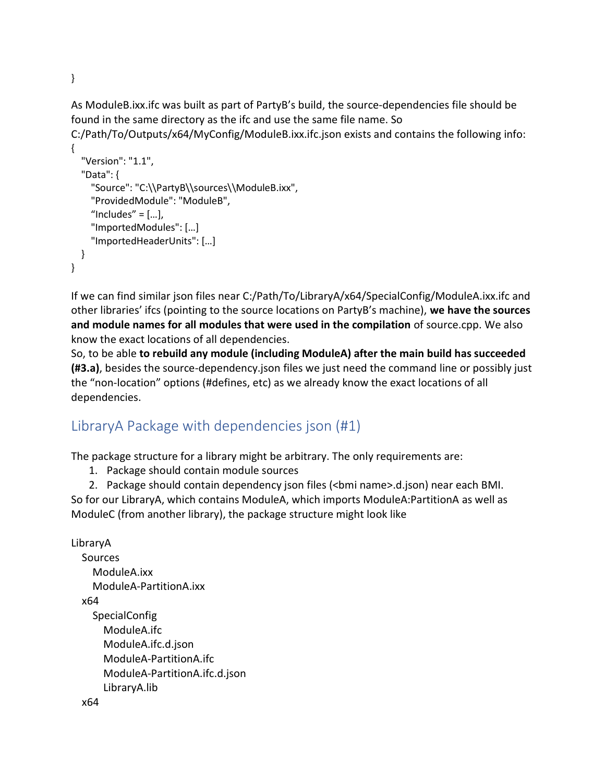As ModuleB.ixx.ifc was built as part of PartyB's build, the source-dependencies file should be found in the same directory as the ifc and use the same file name. So C:/Path/To/Outputs/x64/MyConfig/ModuleB.ixx.ifc.json exists and contains the following info:

```
{ 
   "Version": "1.1", 
   "Data": { 
     "Source": "C:\\PartyB\\sources\\ModuleB.ixx", 
     "ProvidedModule": "ModuleB", 
    "Includes" = [\dots],
     "ImportedModules": […] 
     "ImportedHeaderUnits": […] 
   } 
}
```
If we can find similar json files near C:/Path/To/LibraryA/x64/SpecialConfig/ModuleA.ixx.ifc and other libraries' ifcs (pointing to the source locations on PartyB's machine), we have the sources and module names for all modules that were used in the compilation of source.cpp. We also know the exact locations of all dependencies.

So, to be able to rebuild any module (including ModuleA) after the main build has succeeded (#3.a), besides the source-dependency.json files we just need the command line or possibly just the "non-location" options (#defines, etc) as we already know the exact locations of all dependencies.

## LibraryA Package with dependencies json (#1)

The package structure for a library might be arbitrary. The only requirements are:

1. Package should contain module sources

2. Package should contain dependency json files (<br in name>.d.json) near each BMI.

So for our LibraryA, which contains ModuleA, which imports ModuleA:PartitionA as well as ModuleC (from another library), the package structure might look like

```
LibraryA 
  Sources
     ModuleA.ixx 
     ModuleA-PartitionA.ixx 
   x64 
    SpecialConfig
        ModuleA.ifc 
        ModuleA.ifc.d.json 
        ModuleA-PartitionA.ifc 
        ModuleA-PartitionA.ifc.d.json 
        LibraryA.lib
```

```
}
```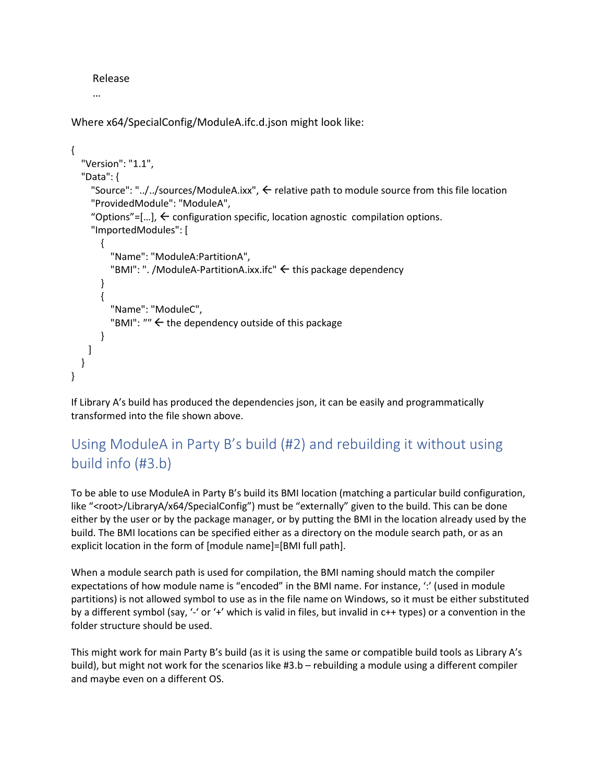#### Release

…

Where x64/SpecialConfig/ModuleA.ifc.d.json might look like:

```
{ 
   "Version": "1.1", 
   "Data": { 
     "Source": "../../sources/ModuleA.ixx", \leftarrow relative path to module source from this file location
      "ProvidedModule": "ModuleA", 
     "Options"=[...], \leftarrow configuration specific, location agnostic compilation options.
      "ImportedModules": [ 
        { 
          "Name": "ModuleA:PartitionA", 
         "BMI": ". /ModuleA-PartitionA.ixx.ifc" \leftarrow this package dependency
        } 
        { 
          "Name": "ModuleC", 
         "BMI": "" \leftarrow the dependency outside of this package
        } 
     ] 
   } 
}
```
If Library A's build has produced the dependencies json, it can be easily and programmatically transformed into the file shown above.

# Using ModuleA in Party B's build (#2) and rebuilding it without using build info (#3.b)

To be able to use ModuleA in Party B's build its BMI location (matching a particular build configuration, like "<root>/LibraryA/x64/SpecialConfig") must be "externally" given to the build. This can be done either by the user or by the package manager, or by putting the BMI in the location already used by the build. The BMI locations can be specified either as a directory on the module search path, or as an explicit location in the form of [module name]=[BMI full path].

When a module search path is used for compilation, the BMI naming should match the compiler expectations of how module name is "encoded" in the BMI name. For instance, ".' (used in module partitions) is not allowed symbol to use as in the file name on Windows, so it must be either substituted by a different symbol (say, '-' or '+' which is valid in files, but invalid in c++ types) or a convention in the folder structure should be used.

This might work for main Party B's build (as it is using the same or compatible build tools as Library A's build), but might not work for the scenarios like #3.b – rebuilding a module using a different compiler and maybe even on a different OS.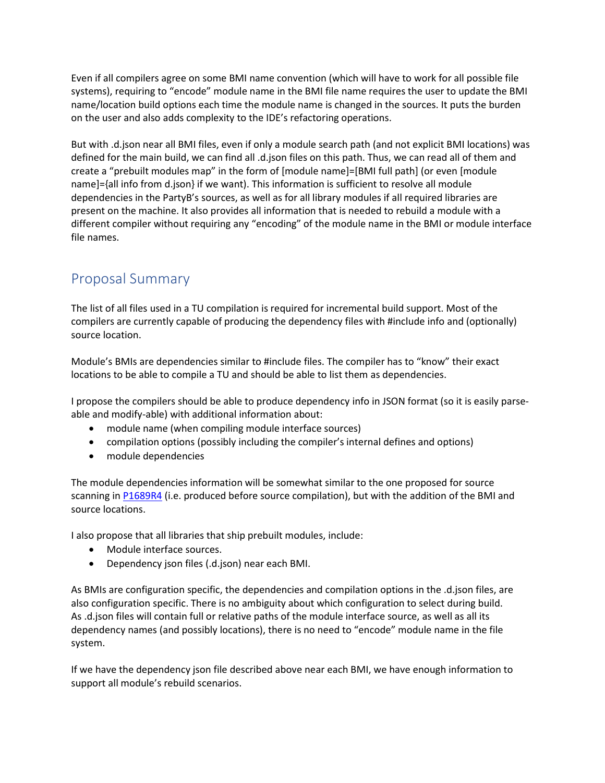Even if all compilers agree on some BMI name convention (which will have to work for all possible file systems), requiring to "encode" module name in the BMI file name requires the user to update the BMI name/location build options each time the module name is changed in the sources. It puts the burden on the user and also adds complexity to the IDE's refactoring operations.

But with .d.json near all BMI files, even if only a module search path (and not explicit BMI locations) was defined for the main build, we can find all .d.json files on this path. Thus, we can read all of them and create a "prebuilt modules map" in the form of [module name]=[BMI full path] (or even [module name]={all info from d.json} if we want). This information is sufficient to resolve all module dependencies in the PartyB's sources, as well as for all library modules if all required libraries are present on the machine. It also provides all information that is needed to rebuild a module with a different compiler without requiring any "encoding" of the module name in the BMI or module interface file names.

## Proposal Summary

The list of all files used in a TU compilation is required for incremental build support. Most of the compilers are currently capable of producing the dependency files with #include info and (optionally) source location.

Module's BMIs are dependencies similar to #include files. The compiler has to "know" their exact locations to be able to compile a TU and should be able to list them as dependencies.

I propose the compilers should be able to produce dependency info in JSON format (so it is easily parseable and modify-able) with additional information about:

- module name (when compiling module interface sources)
- compilation options (possibly including the compiler's internal defines and options)
- module dependencies

The module dependencies information will be somewhat similar to the one proposed for source scanning in P1689R4 (i.e. produced before source compilation), but with the addition of the BMI and source locations.

I also propose that all libraries that ship prebuilt modules, include:

- Module interface sources.
- Dependency json files (.d.json) near each BMI.

As BMIs are configuration specific, the dependencies and compilation options in the .d.json files, are also configuration specific. There is no ambiguity about which configuration to select during build. As .d.json files will contain full or relative paths of the module interface source, as well as all its dependency names (and possibly locations), there is no need to "encode" module name in the file system.

If we have the dependency json file described above near each BMI, we have enough information to support all module's rebuild scenarios.